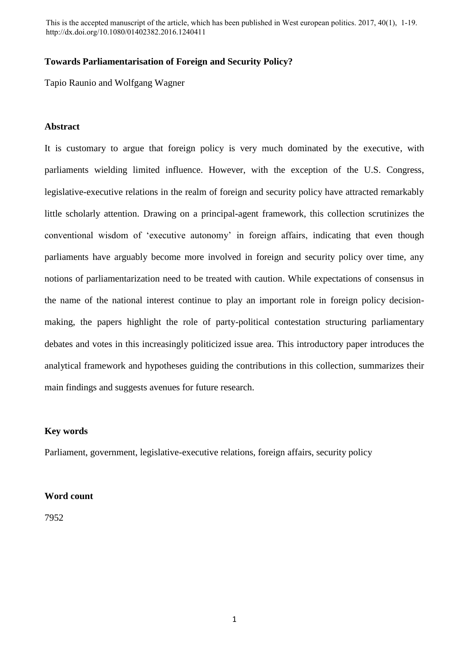This is the accepted manuscript of the article, which has been published in West european politics. 2017, 40(1), 1-19. http://dx.doi.org/10.1080/01402382.2016.1240411

### **Towards Parliamentarisation of Foreign and Security Policy?**

Tapio Raunio and Wolfgang Wagner

# **Abstract**

It is customary to argue that foreign policy is very much dominated by the executive, with parliaments wielding limited influence. However, with the exception of the U.S. Congress, legislative-executive relations in the realm of foreign and security policy have attracted remarkably little scholarly attention. Drawing on a principal-agent framework, this collection scrutinizes the conventional wisdom of 'executive autonomy' in foreign affairs, indicating that even though parliaments have arguably become more involved in foreign and security policy over time, any notions of parliamentarization need to be treated with caution. While expectations of consensus in the name of the national interest continue to play an important role in foreign policy decisionmaking, the papers highlight the role of party-political contestation structuring parliamentary debates and votes in this increasingly politicized issue area. This introductory paper introduces the analytical framework and hypotheses guiding the contributions in this collection, summarizes their main findings and suggests avenues for future research.

## **Key words**

Parliament, government, legislative-executive relations, foreign affairs, security policy

# **Word count**

7952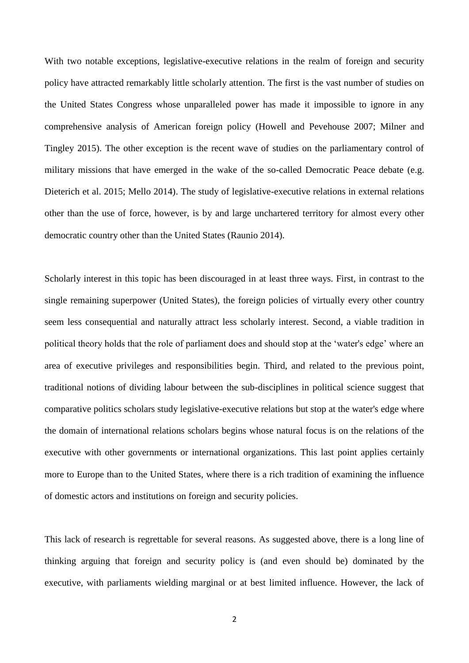With two notable exceptions, legislative-executive relations in the realm of foreign and security policy have attracted remarkably little scholarly attention. The first is the vast number of studies on the United States Congress whose unparalleled power has made it impossible to ignore in any comprehensive analysis of American foreign policy (Howell and Pevehouse 2007; Milner and Tingley 2015). The other exception is the recent wave of studies on the parliamentary control of military missions that have emerged in the wake of the so-called Democratic Peace debate (e.g. Dieterich et al. 2015; Mello 2014). The study of legislative-executive relations in external relations other than the use of force, however, is by and large unchartered territory for almost every other democratic country other than the United States (Raunio 2014).

Scholarly interest in this topic has been discouraged in at least three ways. First, in contrast to the single remaining superpower (United States), the foreign policies of virtually every other country seem less consequential and naturally attract less scholarly interest. Second, a viable tradition in political theory holds that the role of parliament does and should stop at the 'water's edge' where an area of executive privileges and responsibilities begin. Third, and related to the previous point, traditional notions of dividing labour between the sub-disciplines in political science suggest that comparative politics scholars study legislative-executive relations but stop at the water's edge where the domain of international relations scholars begins whose natural focus is on the relations of the executive with other governments or international organizations. This last point applies certainly more to Europe than to the United States, where there is a rich tradition of examining the influence of domestic actors and institutions on foreign and security policies.

This lack of research is regrettable for several reasons. As suggested above, there is a long line of thinking arguing that foreign and security policy is (and even should be) dominated by the executive, with parliaments wielding marginal or at best limited influence. However, the lack of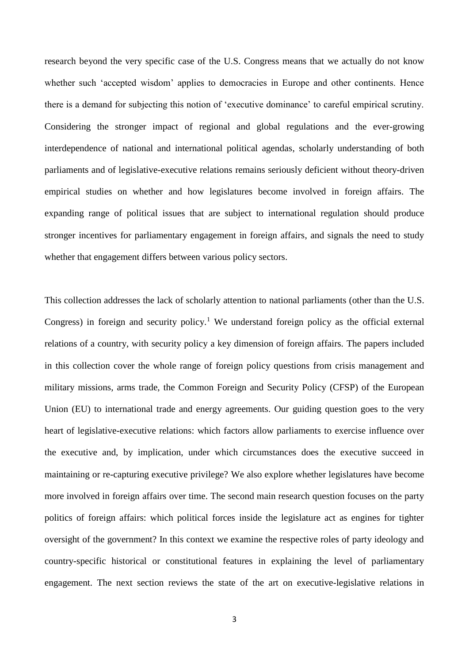research beyond the very specific case of the U.S. Congress means that we actually do not know whether such 'accepted wisdom' applies to democracies in Europe and other continents. Hence there is a demand for subjecting this notion of 'executive dominance' to careful empirical scrutiny. Considering the stronger impact of regional and global regulations and the ever-growing interdependence of national and international political agendas, scholarly understanding of both parliaments and of legislative-executive relations remains seriously deficient without theory-driven empirical studies on whether and how legislatures become involved in foreign affairs. The expanding range of political issues that are subject to international regulation should produce stronger incentives for parliamentary engagement in foreign affairs, and signals the need to study whether that engagement differs between various policy sectors.

This collection addresses the lack of scholarly attention to national parliaments (other than the U.S. Congress) in foreign and security policy.<sup>1</sup> We understand foreign policy as the official external relations of a country, with security policy a key dimension of foreign affairs. The papers included in this collection cover the whole range of foreign policy questions from crisis management and military missions, arms trade, the Common Foreign and Security Policy (CFSP) of the European Union (EU) to international trade and energy agreements. Our guiding question goes to the very heart of legislative-executive relations: which factors allow parliaments to exercise influence over the executive and, by implication, under which circumstances does the executive succeed in maintaining or re-capturing executive privilege? We also explore whether legislatures have become more involved in foreign affairs over time. The second main research question focuses on the party politics of foreign affairs: which political forces inside the legislature act as engines for tighter oversight of the government? In this context we examine the respective roles of party ideology and country-specific historical or constitutional features in explaining the level of parliamentary engagement. The next section reviews the state of the art on executive-legislative relations in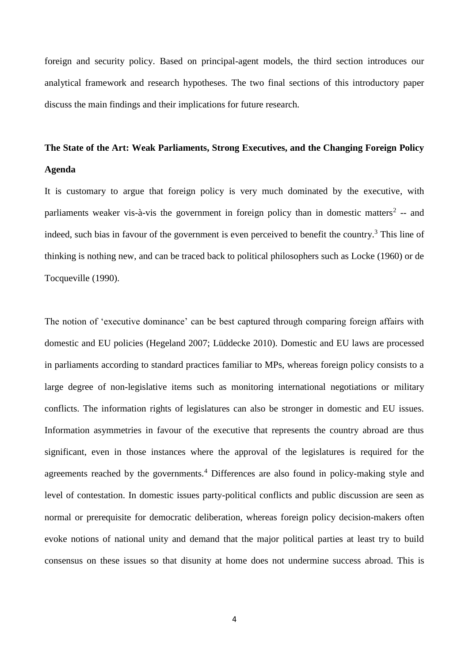foreign and security policy. Based on principal-agent models, the third section introduces our analytical framework and research hypotheses. The two final sections of this introductory paper discuss the main findings and their implications for future research.

# **The State of the Art: Weak Parliaments, Strong Executives, and the Changing Foreign Policy**

# **Agenda**

It is customary to argue that foreign policy is very much dominated by the executive, with parliaments weaker vis-à-vis the government in foreign policy than in domestic matters<sup>2</sup> -- and indeed, such bias in favour of the government is even perceived to benefit the country.<sup>3</sup> This line of thinking is nothing new, and can be traced back to political philosophers such as Locke (1960) or de Tocqueville (1990).

The notion of 'executive dominance' can be best captured through comparing foreign affairs with domestic and EU policies (Hegeland 2007; Lüddecke 2010). Domestic and EU laws are processed in parliaments according to standard practices familiar to MPs, whereas foreign policy consists to a large degree of non-legislative items such as monitoring international negotiations or military conflicts. The information rights of legislatures can also be stronger in domestic and EU issues. Information asymmetries in favour of the executive that represents the country abroad are thus significant, even in those instances where the approval of the legislatures is required for the agreements reached by the governments.<sup>4</sup> Differences are also found in policy-making style and level of contestation. In domestic issues party-political conflicts and public discussion are seen as normal or prerequisite for democratic deliberation, whereas foreign policy decision-makers often evoke notions of national unity and demand that the major political parties at least try to build consensus on these issues so that disunity at home does not undermine success abroad. This is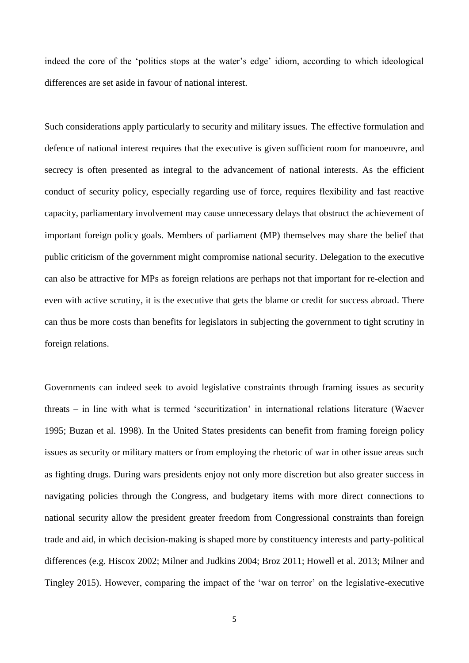indeed the core of the 'politics stops at the water's edge' idiom, according to which ideological differences are set aside in favour of national interest.

Such considerations apply particularly to security and military issues. The effective formulation and defence of national interest requires that the executive is given sufficient room for manoeuvre, and secrecy is often presented as integral to the advancement of national interests. As the efficient conduct of security policy, especially regarding use of force, requires flexibility and fast reactive capacity, parliamentary involvement may cause unnecessary delays that obstruct the achievement of important foreign policy goals. Members of parliament (MP) themselves may share the belief that public criticism of the government might compromise national security. Delegation to the executive can also be attractive for MPs as foreign relations are perhaps not that important for re-election and even with active scrutiny, it is the executive that gets the blame or credit for success abroad. There can thus be more costs than benefits for legislators in subjecting the government to tight scrutiny in foreign relations.

Governments can indeed seek to avoid legislative constraints through framing issues as security threats – in line with what is termed 'securitization' in international relations literature (Waever 1995; Buzan et al. 1998). In the United States presidents can benefit from framing foreign policy issues as security or military matters or from employing the rhetoric of war in other issue areas such as fighting drugs. During wars presidents enjoy not only more discretion but also greater success in navigating policies through the Congress, and budgetary items with more direct connections to national security allow the president greater freedom from Congressional constraints than foreign trade and aid, in which decision-making is shaped more by constituency interests and party-political differences (e.g. Hiscox 2002; Milner and Judkins 2004; Broz 2011; Howell et al. 2013; Milner and Tingley 2015). However, comparing the impact of the 'war on terror' on the legislative-executive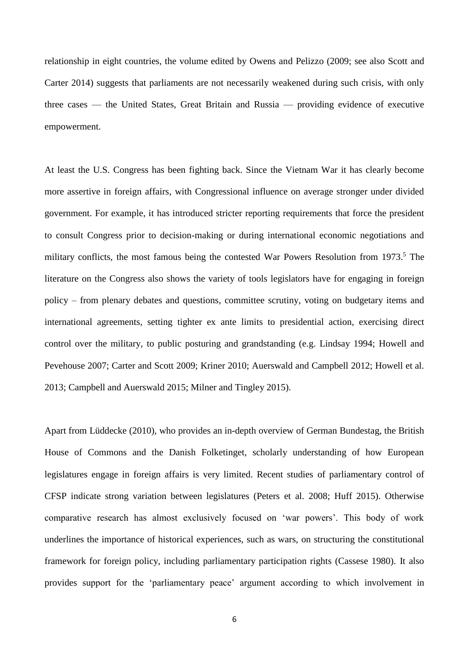relationship in eight countries, the volume edited by Owens and Pelizzo (2009; see also Scott and Carter 2014) suggests that parliaments are not necessarily weakened during such crisis, with only three cases — the United States, Great Britain and Russia — providing evidence of executive empowerment.

At least the U.S. Congress has been fighting back. Since the Vietnam War it has clearly become more assertive in foreign affairs, with Congressional influence on average stronger under divided government. For example, it has introduced stricter reporting requirements that force the president to consult Congress prior to decision-making or during international economic negotiations and military conflicts, the most famous being the contested War Powers Resolution from 1973.<sup>5</sup> The literature on the Congress also shows the variety of tools legislators have for engaging in foreign policy – from plenary debates and questions, committee scrutiny, voting on budgetary items and international agreements, setting tighter ex ante limits to presidential action, exercising direct control over the military, to public posturing and grandstanding (e.g. Lindsay 1994; Howell and Pevehouse 2007; Carter and Scott 2009; Kriner 2010; Auerswald and Campbell 2012; Howell et al. 2013; Campbell and Auerswald 2015; Milner and Tingley 2015).

Apart from Lüddecke (2010), who provides an in-depth overview of German Bundestag, the British House of Commons and the Danish Folketinget, scholarly understanding of how European legislatures engage in foreign affairs is very limited. Recent studies of parliamentary control of CFSP indicate strong variation between legislatures (Peters et al. 2008; Huff 2015). Otherwise comparative research has almost exclusively focused on 'war powers'. This body of work underlines the importance of historical experiences, such as wars, on structuring the constitutional framework for foreign policy, including parliamentary participation rights (Cassese 1980). It also provides support for the 'parliamentary peace' argument according to which involvement in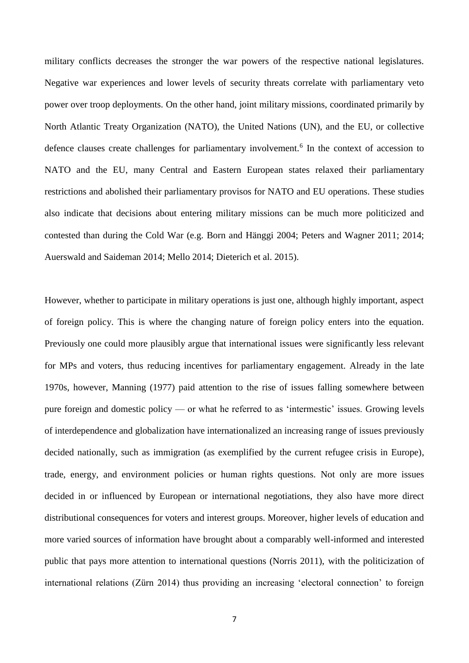military conflicts decreases the stronger the war powers of the respective national legislatures. Negative war experiences and lower levels of security threats correlate with parliamentary veto power over troop deployments. On the other hand, joint military missions, coordinated primarily by North Atlantic Treaty Organization (NATO), the United Nations (UN), and the EU, or collective defence clauses create challenges for parliamentary involvement.<sup>6</sup> In the context of accession to NATO and the EU, many Central and Eastern European states relaxed their parliamentary restrictions and abolished their parliamentary provisos for NATO and EU operations. These studies also indicate that decisions about entering military missions can be much more politicized and contested than during the Cold War (e.g. Born and Hänggi 2004; Peters and Wagner 2011; 2014; Auerswald and Saideman 2014; Mello 2014; Dieterich et al. 2015).

However, whether to participate in military operations is just one, although highly important, aspect of foreign policy. This is where the changing nature of foreign policy enters into the equation. Previously one could more plausibly argue that international issues were significantly less relevant for MPs and voters, thus reducing incentives for parliamentary engagement. Already in the late 1970s, however, Manning (1977) paid attention to the rise of issues falling somewhere between pure foreign and domestic policy — or what he referred to as 'intermestic' issues. Growing levels of interdependence and globalization have internationalized an increasing range of issues previously decided nationally, such as immigration (as exemplified by the current refugee crisis in Europe), trade, energy, and environment policies or human rights questions. Not only are more issues decided in or influenced by European or international negotiations, they also have more direct distributional consequences for voters and interest groups. Moreover, higher levels of education and more varied sources of information have brought about a comparably well-informed and interested public that pays more attention to international questions (Norris 2011), with the politicization of international relations (Zürn 2014) thus providing an increasing 'electoral connection' to foreign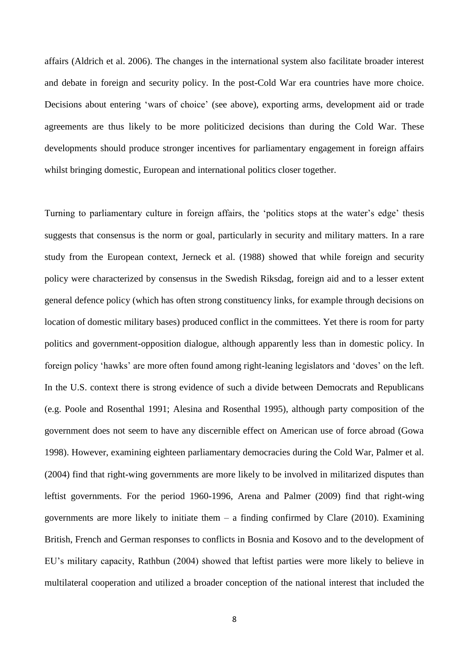affairs (Aldrich et al. 2006). The changes in the international system also facilitate broader interest and debate in foreign and security policy. In the post-Cold War era countries have more choice. Decisions about entering 'wars of choice' (see above), exporting arms, development aid or trade agreements are thus likely to be more politicized decisions than during the Cold War. These developments should produce stronger incentives for parliamentary engagement in foreign affairs whilst bringing domestic, European and international politics closer together.

Turning to parliamentary culture in foreign affairs, the 'politics stops at the water's edge' thesis suggests that consensus is the norm or goal, particularly in security and military matters. In a rare study from the European context, Jerneck et al. (1988) showed that while foreign and security policy were characterized by consensus in the Swedish Riksdag, foreign aid and to a lesser extent general defence policy (which has often strong constituency links, for example through decisions on location of domestic military bases) produced conflict in the committees. Yet there is room for party politics and government-opposition dialogue, although apparently less than in domestic policy. In foreign policy 'hawks' are more often found among right-leaning legislators and 'doves' on the left. In the U.S. context there is strong evidence of such a divide between Democrats and Republicans (e.g. Poole and Rosenthal 1991; Alesina and Rosenthal 1995), although party composition of the government does not seem to have any discernible effect on American use of force abroad (Gowa 1998). However, examining eighteen parliamentary democracies during the Cold War, Palmer et al. (2004) find that right-wing governments are more likely to be involved in militarized disputes than leftist governments. For the period 1960-1996, Arena and Palmer (2009) find that right-wing governments are more likely to initiate them  $-$  a finding confirmed by Clare (2010). Examining British, French and German responses to conflicts in Bosnia and Kosovo and to the development of EU's military capacity, Rathbun (2004) showed that leftist parties were more likely to believe in multilateral cooperation and utilized a broader conception of the national interest that included the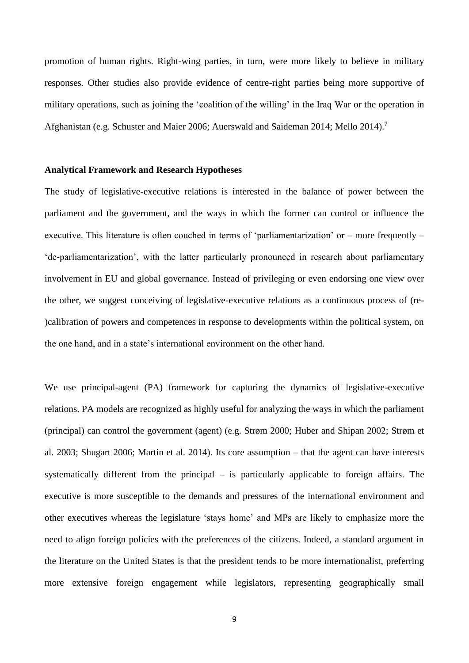promotion of human rights. Right-wing parties, in turn, were more likely to believe in military responses. Other studies also provide evidence of centre-right parties being more supportive of military operations, such as joining the 'coalition of the willing' in the Iraq War or the operation in Afghanistan (e.g. Schuster and Maier 2006; Auerswald and Saideman 2014; Mello 2014).<sup>7</sup>

#### **Analytical Framework and Research Hypotheses**

The study of legislative-executive relations is interested in the balance of power between the parliament and the government, and the ways in which the former can control or influence the executive. This literature is often couched in terms of 'parliamentarization' or – more frequently – 'de-parliamentarization', with the latter particularly pronounced in research about parliamentary involvement in EU and global governance. Instead of privileging or even endorsing one view over the other, we suggest conceiving of legislative-executive relations as a continuous process of (re- )calibration of powers and competences in response to developments within the political system, on the one hand, and in a state's international environment on the other hand.

We use principal-agent (PA) framework for capturing the dynamics of legislative-executive relations. PA models are recognized as highly useful for analyzing the ways in which the parliament (principal) can control the government (agent) (e.g. Strøm 2000; Huber and Shipan 2002; Strøm et al. 2003; Shugart 2006; Martin et al. 2014). Its core assumption – that the agent can have interests systematically different from the principal – is particularly applicable to foreign affairs. The executive is more susceptible to the demands and pressures of the international environment and other executives whereas the legislature 'stays home' and MPs are likely to emphasize more the need to align foreign policies with the preferences of the citizens. Indeed, a standard argument in the literature on the United States is that the president tends to be more internationalist, preferring more extensive foreign engagement while legislators, representing geographically small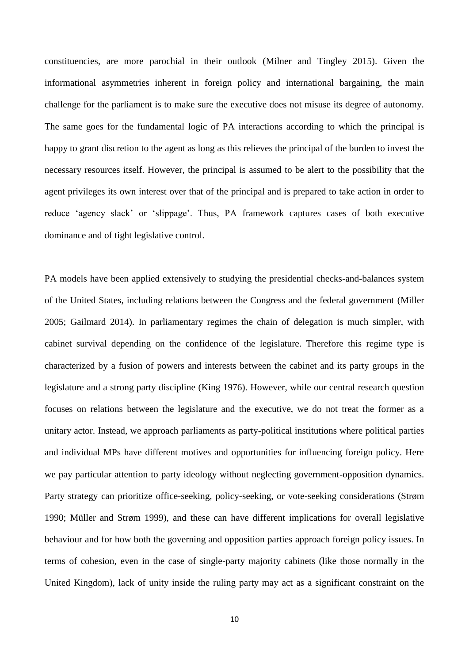constituencies, are more parochial in their outlook (Milner and Tingley 2015). Given the informational asymmetries inherent in foreign policy and international bargaining, the main challenge for the parliament is to make sure the executive does not misuse its degree of autonomy. The same goes for the fundamental logic of PA interactions according to which the principal is happy to grant discretion to the agent as long as this relieves the principal of the burden to invest the necessary resources itself. However, the principal is assumed to be alert to the possibility that the agent privileges its own interest over that of the principal and is prepared to take action in order to reduce 'agency slack' or 'slippage'. Thus, PA framework captures cases of both executive dominance and of tight legislative control.

PA models have been applied extensively to studying the presidential checks-and-balances system of the United States, including relations between the Congress and the federal government (Miller 2005; Gailmard 2014). In parliamentary regimes the chain of delegation is much simpler, with cabinet survival depending on the confidence of the legislature. Therefore this regime type is characterized by a fusion of powers and interests between the cabinet and its party groups in the legislature and a strong party discipline (King 1976). However, while our central research question focuses on relations between the legislature and the executive, we do not treat the former as a unitary actor. Instead, we approach parliaments as party-political institutions where political parties and individual MPs have different motives and opportunities for influencing foreign policy. Here we pay particular attention to party ideology without neglecting government-opposition dynamics. Party strategy can prioritize office-seeking, policy-seeking, or vote-seeking considerations (Strøm 1990; Müller and Strøm 1999), and these can have different implications for overall legislative behaviour and for how both the governing and opposition parties approach foreign policy issues. In terms of cohesion, even in the case of single-party majority cabinets (like those normally in the United Kingdom), lack of unity inside the ruling party may act as a significant constraint on the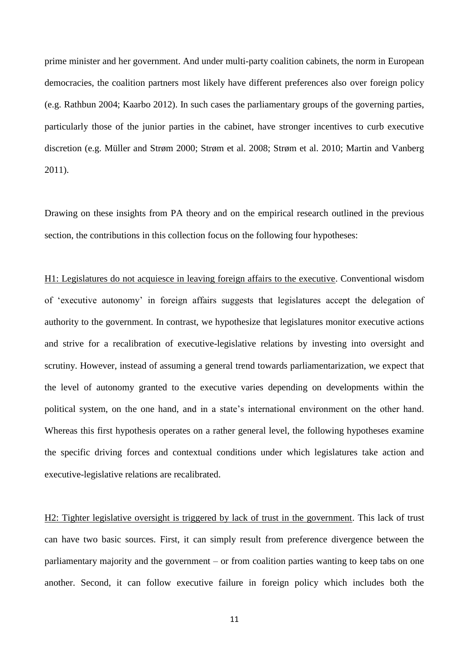prime minister and her government. And under multi-party coalition cabinets, the norm in European democracies, the coalition partners most likely have different preferences also over foreign policy (e.g. Rathbun 2004; Kaarbo 2012). In such cases the parliamentary groups of the governing parties, particularly those of the junior parties in the cabinet, have stronger incentives to curb executive discretion (e.g. Müller and Strøm 2000; Strøm et al. 2008; Strøm et al. 2010; Martin and Vanberg 2011).

Drawing on these insights from PA theory and on the empirical research outlined in the previous section, the contributions in this collection focus on the following four hypotheses:

H1: Legislatures do not acquiesce in leaving foreign affairs to the executive. Conventional wisdom of 'executive autonomy' in foreign affairs suggests that legislatures accept the delegation of authority to the government. In contrast, we hypothesize that legislatures monitor executive actions and strive for a recalibration of executive-legislative relations by investing into oversight and scrutiny. However, instead of assuming a general trend towards parliamentarization, we expect that the level of autonomy granted to the executive varies depending on developments within the political system, on the one hand, and in a state's international environment on the other hand. Whereas this first hypothesis operates on a rather general level, the following hypotheses examine the specific driving forces and contextual conditions under which legislatures take action and executive-legislative relations are recalibrated.

H2: Tighter legislative oversight is triggered by lack of trust in the government. This lack of trust can have two basic sources. First, it can simply result from preference divergence between the parliamentary majority and the government – or from coalition parties wanting to keep tabs on one another. Second, it can follow executive failure in foreign policy which includes both the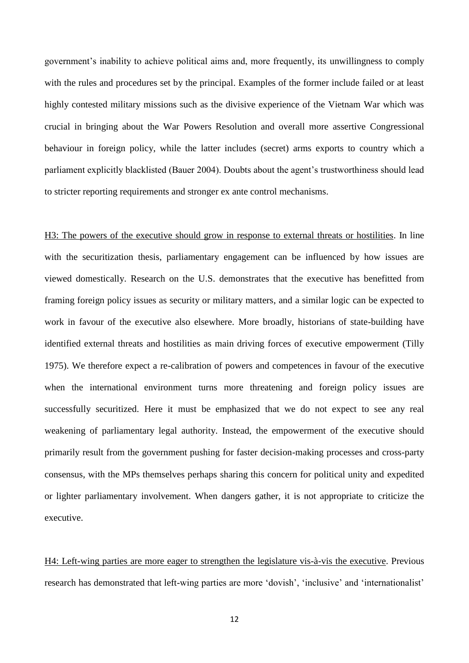government's inability to achieve political aims and, more frequently, its unwillingness to comply with the rules and procedures set by the principal. Examples of the former include failed or at least highly contested military missions such as the divisive experience of the Vietnam War which was crucial in bringing about the War Powers Resolution and overall more assertive Congressional behaviour in foreign policy, while the latter includes (secret) arms exports to country which a parliament explicitly blacklisted (Bauer 2004). Doubts about the agent's trustworthiness should lead to stricter reporting requirements and stronger ex ante control mechanisms.

H3: The powers of the executive should grow in response to external threats or hostilities. In line with the securitization thesis, parliamentary engagement can be influenced by how issues are viewed domestically. Research on the U.S. demonstrates that the executive has benefitted from framing foreign policy issues as security or military matters, and a similar logic can be expected to work in favour of the executive also elsewhere. More broadly, historians of state-building have identified external threats and hostilities as main driving forces of executive empowerment (Tilly 1975). We therefore expect a re-calibration of powers and competences in favour of the executive when the international environment turns more threatening and foreign policy issues are successfully securitized. Here it must be emphasized that we do not expect to see any real weakening of parliamentary legal authority. Instead, the empowerment of the executive should primarily result from the government pushing for faster decision-making processes and cross-party consensus, with the MPs themselves perhaps sharing this concern for political unity and expedited or lighter parliamentary involvement. When dangers gather, it is not appropriate to criticize the executive.

H4: Left-wing parties are more eager to strengthen the legislature vis-à-vis the executive. Previous research has demonstrated that left-wing parties are more 'dovish', 'inclusive' and 'internationalist'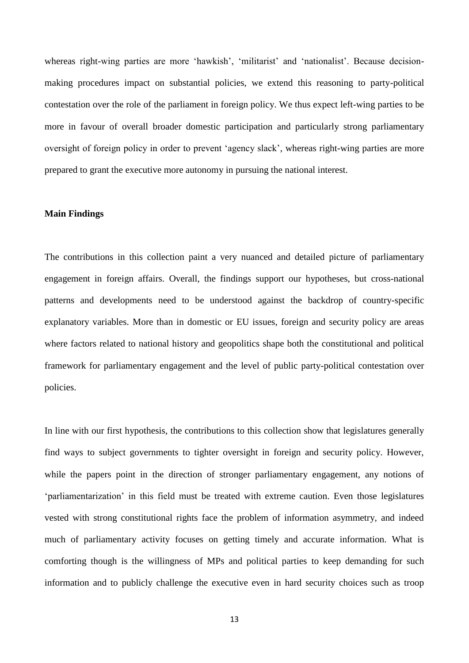whereas right-wing parties are more 'hawkish', 'militarist' and 'nationalist'. Because decisionmaking procedures impact on substantial policies, we extend this reasoning to party-political contestation over the role of the parliament in foreign policy. We thus expect left-wing parties to be more in favour of overall broader domestic participation and particularly strong parliamentary oversight of foreign policy in order to prevent 'agency slack', whereas right-wing parties are more prepared to grant the executive more autonomy in pursuing the national interest.

## **Main Findings**

The contributions in this collection paint a very nuanced and detailed picture of parliamentary engagement in foreign affairs. Overall, the findings support our hypotheses, but cross-national patterns and developments need to be understood against the backdrop of country-specific explanatory variables. More than in domestic or EU issues, foreign and security policy are areas where factors related to national history and geopolitics shape both the constitutional and political framework for parliamentary engagement and the level of public party-political contestation over policies.

In line with our first hypothesis, the contributions to this collection show that legislatures generally find ways to subject governments to tighter oversight in foreign and security policy. However, while the papers point in the direction of stronger parliamentary engagement, any notions of 'parliamentarization' in this field must be treated with extreme caution. Even those legislatures vested with strong constitutional rights face the problem of information asymmetry, and indeed much of parliamentary activity focuses on getting timely and accurate information. What is comforting though is the willingness of MPs and political parties to keep demanding for such information and to publicly challenge the executive even in hard security choices such as troop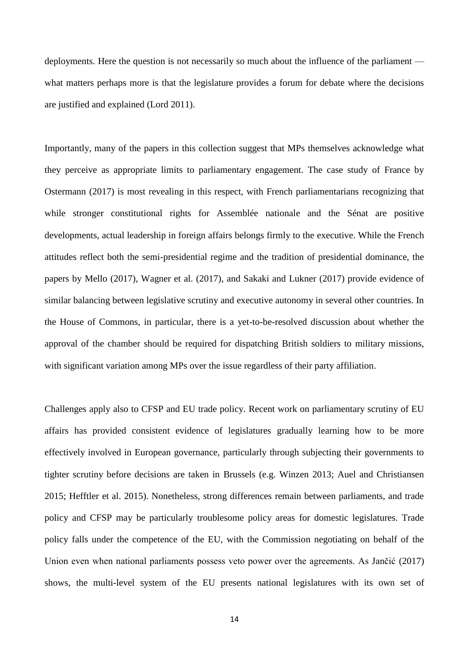deployments. Here the question is not necessarily so much about the influence of the parliament what matters perhaps more is that the legislature provides a forum for debate where the decisions are justified and explained (Lord 2011).

Importantly, many of the papers in this collection suggest that MPs themselves acknowledge what they perceive as appropriate limits to parliamentary engagement. The case study of France by Ostermann (2017) is most revealing in this respect, with French parliamentarians recognizing that while stronger constitutional rights for Assemblée nationale and the Sénat are positive developments, actual leadership in foreign affairs belongs firmly to the executive. While the French attitudes reflect both the semi-presidential regime and the tradition of presidential dominance, the papers by Mello (2017), Wagner et al. (2017), and Sakaki and Lukner (2017) provide evidence of similar balancing between legislative scrutiny and executive autonomy in several other countries. In the House of Commons, in particular, there is a yet-to-be-resolved discussion about whether the approval of the chamber should be required for dispatching British soldiers to military missions, with significant variation among MPs over the issue regardless of their party affiliation.

Challenges apply also to CFSP and EU trade policy. Recent work on parliamentary scrutiny of EU affairs has provided consistent evidence of legislatures gradually learning how to be more effectively involved in European governance, particularly through subjecting their governments to tighter scrutiny before decisions are taken in Brussels (e.g. Winzen 2013; Auel and Christiansen 2015; Hefftler et al. 2015). Nonetheless, strong differences remain between parliaments, and trade policy and CFSP may be particularly troublesome policy areas for domestic legislatures. Trade policy falls under the competence of the EU, with the Commission negotiating on behalf of the Union even when national parliaments possess veto power over the agreements. As Jančić (2017) shows, the multi-level system of the EU presents national legislatures with its own set of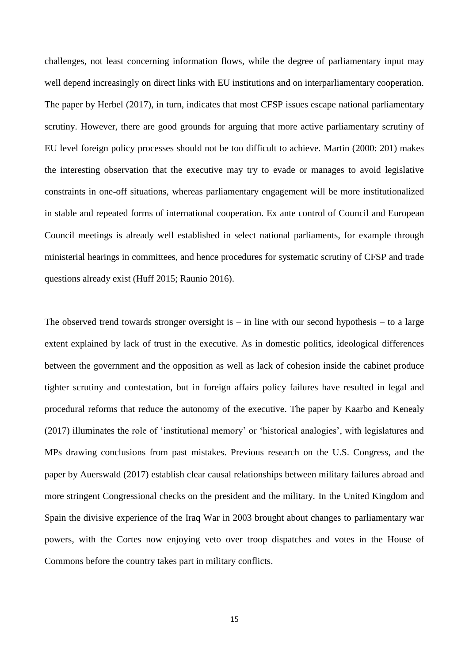challenges, not least concerning information flows, while the degree of parliamentary input may well depend increasingly on direct links with EU institutions and on interparliamentary cooperation. The paper by Herbel (2017), in turn, indicates that most CFSP issues escape national parliamentary scrutiny. However, there are good grounds for arguing that more active parliamentary scrutiny of EU level foreign policy processes should not be too difficult to achieve. Martin (2000: 201) makes the interesting observation that the executive may try to evade or manages to avoid legislative constraints in one-off situations, whereas parliamentary engagement will be more institutionalized in stable and repeated forms of international cooperation. Ex ante control of Council and European Council meetings is already well established in select national parliaments, for example through ministerial hearings in committees, and hence procedures for systematic scrutiny of CFSP and trade questions already exist (Huff 2015; Raunio 2016).

The observed trend towards stronger oversight is  $-$  in line with our second hypothesis  $-$  to a large extent explained by lack of trust in the executive. As in domestic politics, ideological differences between the government and the opposition as well as lack of cohesion inside the cabinet produce tighter scrutiny and contestation, but in foreign affairs policy failures have resulted in legal and procedural reforms that reduce the autonomy of the executive. The paper by Kaarbo and Kenealy (2017) illuminates the role of 'institutional memory' or 'historical analogies', with legislatures and MPs drawing conclusions from past mistakes. Previous research on the U.S. Congress, and the paper by Auerswald (2017) establish clear causal relationships between military failures abroad and more stringent Congressional checks on the president and the military. In the United Kingdom and Spain the divisive experience of the Iraq War in 2003 brought about changes to parliamentary war powers, with the Cortes now enjoying veto over troop dispatches and votes in the House of Commons before the country takes part in military conflicts.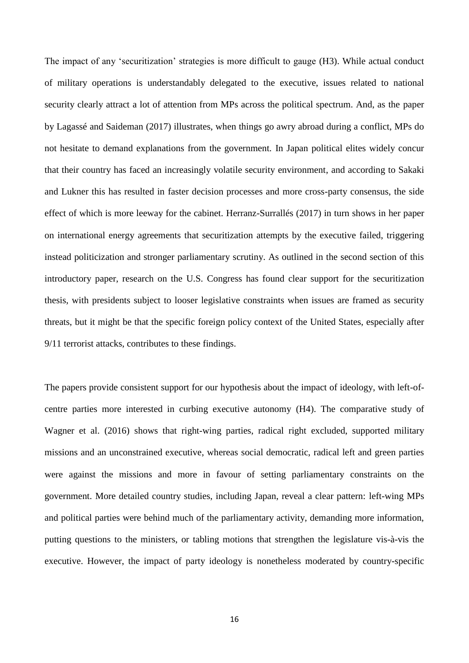The impact of any 'securitization' strategies is more difficult to gauge (H3). While actual conduct of military operations is understandably delegated to the executive, issues related to national security clearly attract a lot of attention from MPs across the political spectrum. And, as the paper by Lagassé and Saideman (2017) illustrates, when things go awry abroad during a conflict, MPs do not hesitate to demand explanations from the government. In Japan political elites widely concur that their country has faced an increasingly volatile security environment, and according to Sakaki and Lukner this has resulted in faster decision processes and more cross-party consensus, the side effect of which is more leeway for the cabinet. Herranz-Surrallés (2017) in turn shows in her paper on international energy agreements that securitization attempts by the executive failed, triggering instead politicization and stronger parliamentary scrutiny. As outlined in the second section of this introductory paper, research on the U.S. Congress has found clear support for the securitization thesis, with presidents subject to looser legislative constraints when issues are framed as security threats, but it might be that the specific foreign policy context of the United States, especially after 9/11 terrorist attacks, contributes to these findings.

The papers provide consistent support for our hypothesis about the impact of ideology, with left-ofcentre parties more interested in curbing executive autonomy (H4). The comparative study of Wagner et al. (2016) shows that right-wing parties, radical right excluded, supported military missions and an unconstrained executive, whereas social democratic, radical left and green parties were against the missions and more in favour of setting parliamentary constraints on the government. More detailed country studies, including Japan, reveal a clear pattern: left-wing MPs and political parties were behind much of the parliamentary activity, demanding more information, putting questions to the ministers, or tabling motions that strengthen the legislature vis-à-vis the executive. However, the impact of party ideology is nonetheless moderated by country-specific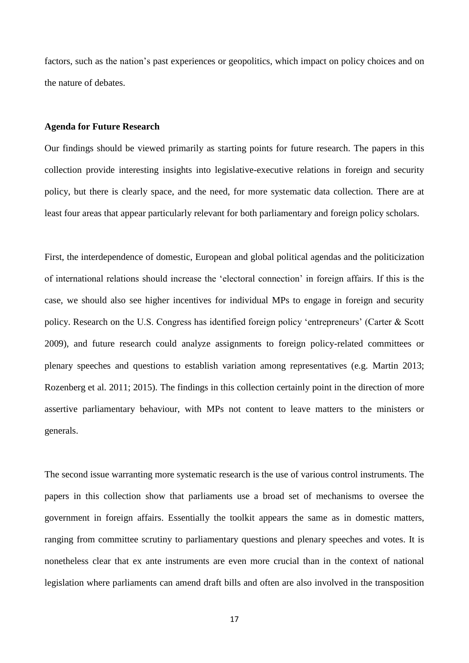factors, such as the nation's past experiences or geopolitics, which impact on policy choices and on the nature of debates.

# **Agenda for Future Research**

Our findings should be viewed primarily as starting points for future research. The papers in this collection provide interesting insights into legislative-executive relations in foreign and security policy, but there is clearly space, and the need, for more systematic data collection. There are at least four areas that appear particularly relevant for both parliamentary and foreign policy scholars.

First, the interdependence of domestic, European and global political agendas and the politicization of international relations should increase the 'electoral connection' in foreign affairs. If this is the case, we should also see higher incentives for individual MPs to engage in foreign and security policy. Research on the U.S. Congress has identified foreign policy 'entrepreneurs' (Carter & Scott 2009), and future research could analyze assignments to foreign policy-related committees or plenary speeches and questions to establish variation among representatives (e.g. Martin 2013; Rozenberg et al. 2011; 2015). The findings in this collection certainly point in the direction of more assertive parliamentary behaviour, with MPs not content to leave matters to the ministers or generals.

The second issue warranting more systematic research is the use of various control instruments. The papers in this collection show that parliaments use a broad set of mechanisms to oversee the government in foreign affairs. Essentially the toolkit appears the same as in domestic matters, ranging from committee scrutiny to parliamentary questions and plenary speeches and votes. It is nonetheless clear that ex ante instruments are even more crucial than in the context of national legislation where parliaments can amend draft bills and often are also involved in the transposition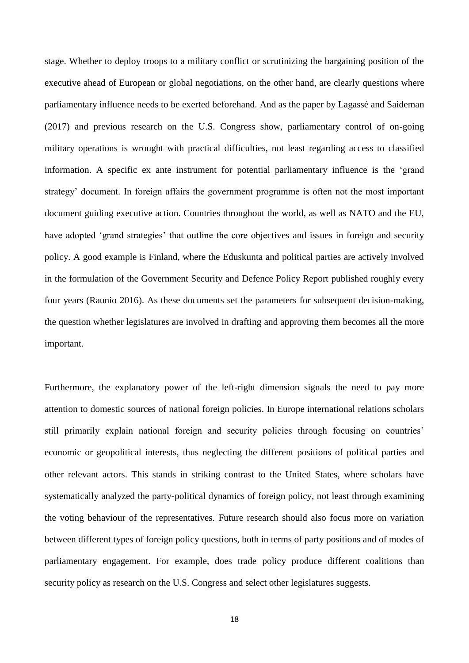stage. Whether to deploy troops to a military conflict or scrutinizing the bargaining position of the executive ahead of European or global negotiations, on the other hand, are clearly questions where parliamentary influence needs to be exerted beforehand. And as the paper by Lagassé and Saideman (2017) and previous research on the U.S. Congress show, parliamentary control of on-going military operations is wrought with practical difficulties, not least regarding access to classified information. A specific ex ante instrument for potential parliamentary influence is the 'grand strategy' document. In foreign affairs the government programme is often not the most important document guiding executive action. Countries throughout the world, as well as NATO and the EU, have adopted 'grand strategies' that outline the core objectives and issues in foreign and security policy. A good example is Finland, where the Eduskunta and political parties are actively involved in the formulation of the Government Security and Defence Policy Report published roughly every four years (Raunio 2016). As these documents set the parameters for subsequent decision-making, the question whether legislatures are involved in drafting and approving them becomes all the more important.

Furthermore, the explanatory power of the left-right dimension signals the need to pay more attention to domestic sources of national foreign policies. In Europe international relations scholars still primarily explain national foreign and security policies through focusing on countries' economic or geopolitical interests, thus neglecting the different positions of political parties and other relevant actors. This stands in striking contrast to the United States, where scholars have systematically analyzed the party-political dynamics of foreign policy, not least through examining the voting behaviour of the representatives. Future research should also focus more on variation between different types of foreign policy questions, both in terms of party positions and of modes of parliamentary engagement. For example, does trade policy produce different coalitions than security policy as research on the U.S. Congress and select other legislatures suggests.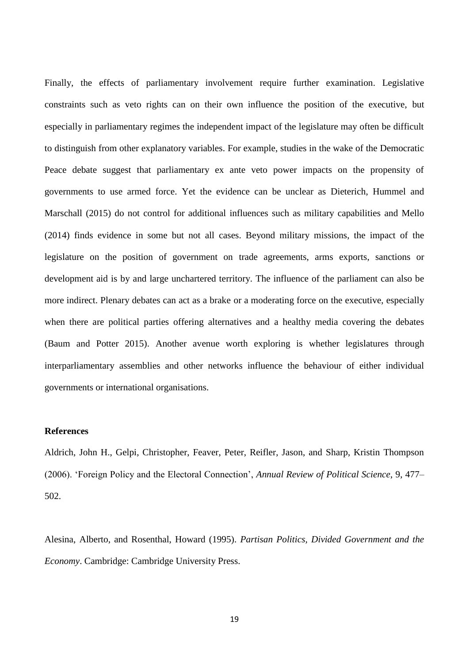Finally, the effects of parliamentary involvement require further examination. Legislative constraints such as veto rights can on their own influence the position of the executive, but especially in parliamentary regimes the independent impact of the legislature may often be difficult to distinguish from other explanatory variables. For example, studies in the wake of the Democratic Peace debate suggest that parliamentary ex ante veto power impacts on the propensity of governments to use armed force. Yet the evidence can be unclear as Dieterich, Hummel and Marschall (2015) do not control for additional influences such as military capabilities and Mello (2014) finds evidence in some but not all cases. Beyond military missions, the impact of the legislature on the position of government on trade agreements, arms exports, sanctions or development aid is by and large unchartered territory. The influence of the parliament can also be more indirect. Plenary debates can act as a brake or a moderating force on the executive, especially when there are political parties offering alternatives and a healthy media covering the debates (Baum and Potter 2015). Another avenue worth exploring is whether legislatures through interparliamentary assemblies and other networks influence the behaviour of either individual governments or international organisations.

## **References**

Aldrich, John H., Gelpi, Christopher, Feaver, Peter, Reifler, Jason, and Sharp, Kristin Thompson (2006). 'Foreign Policy and the Electoral Connection', *Annual Review of Political Science*, 9, 477– 502.

Alesina, Alberto, and Rosenthal, Howard (1995). *Partisan Politics, Divided Government and the Economy*. Cambridge: Cambridge University Press.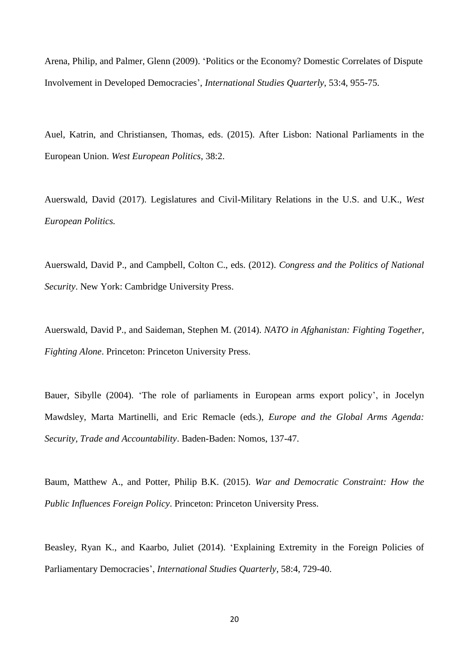Arena, Philip, and Palmer, Glenn (2009). 'Politics or the Economy? Domestic Correlates of Dispute Involvement in Developed Democracies', *International Studies Quarterly*, 53:4, 955-75.

Auel, Katrin, and Christiansen, Thomas, eds. (2015). After Lisbon: National Parliaments in the European Union. *West European Politics*, 38:2.

Auerswald, David (2017). Legislatures and Civil-Military Relations in the U.S. and U.K., *West European Politics.*

Auerswald, David P., and Campbell, Colton C., eds. (2012). *Congress and the Politics of National Security*. New York: Cambridge University Press.

Auerswald, David P., and Saideman, Stephen M. (2014). *NATO in Afghanistan: Fighting Together, Fighting Alone*. Princeton: Princeton University Press.

Bauer, Sibylle (2004). 'The role of parliaments in European arms export policy', in Jocelyn Mawdsley, Marta Martinelli, and Eric Remacle (eds.), *Europe and the Global Arms Agenda: Security, Trade and Accountability*. Baden-Baden: Nomos, 137-47.

Baum, Matthew A., and Potter, Philip B.K. (2015). *War and Democratic Constraint: How the Public Influences Foreign Policy*. Princeton: Princeton University Press.

Beasley, Ryan K., and Kaarbo, Juliet (2014). 'Explaining Extremity in the Foreign Policies of Parliamentary Democracies', *International Studies Quarterly*, 58:4, 729-40.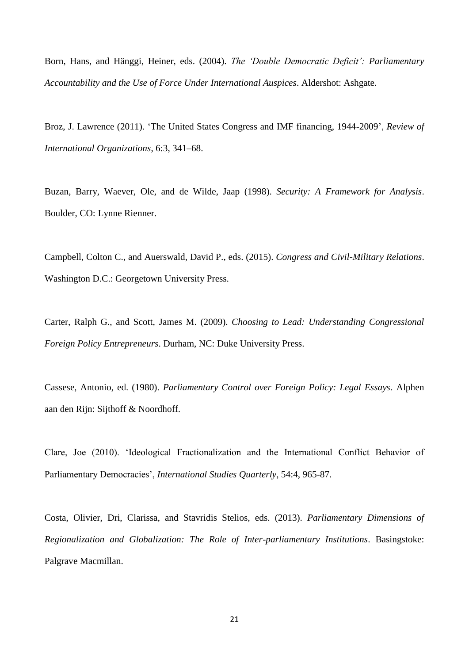Born, Hans, and Hänggi, Heiner, eds. (2004). *The 'Double Democratic Deficit': Parliamentary Accountability and the Use of Force Under International Auspices*. Aldershot: Ashgate.

Broz, J. Lawrence (2011). 'The United States Congress and IMF financing, 1944-2009', *Review of International Organizations*, 6:3, 341–68.

Buzan, Barry, Waever, Ole, and de Wilde, Jaap (1998). *Security: A Framework for Analysis*. Boulder, CO: Lynne Rienner.

Campbell, Colton C., and Auerswald, David P., eds. (2015). *Congress and Civil-Military Relations*. Washington D.C.: Georgetown University Press.

Carter, Ralph G., and Scott, James M. (2009). *Choosing to Lead: Understanding Congressional Foreign Policy Entrepreneurs*. Durham, NC: Duke University Press.

Cassese, Antonio, ed. (1980). *Parliamentary Control over Foreign Policy: Legal Essays*. Alphen aan den Rijn: Sijthoff & Noordhoff.

Clare, Joe (2010). 'Ideological Fractionalization and the International Conflict Behavior of Parliamentary Democracies', *International Studies Quarterly*, 54:4, 965-87.

Costa, Olivier, Dri, Clarissa, and Stavridis Stelios, eds. (2013). *Parliamentary Dimensions of Regionalization and Globalization: The Role of Inter-parliamentary Institutions*. Basingstoke: Palgrave Macmillan.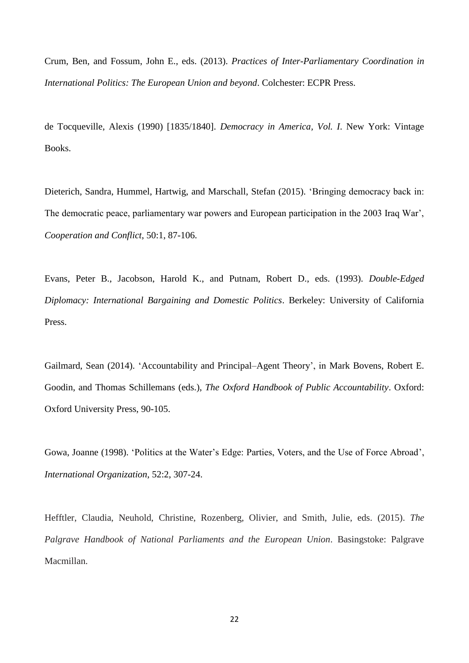Crum, Ben, and Fossum, John E., eds. (2013). *Practices of Inter-Parliamentary Coordination in International Politics: The European Union and beyond*. Colchester: ECPR Press.

de Tocqueville, Alexis (1990) [1835/1840]. *Democracy in America, Vol. I*. New York: Vintage Books.

Dieterich, Sandra, Hummel, Hartwig, and Marschall, Stefan (2015). 'Bringing democracy back in: The democratic peace, parliamentary war powers and European participation in the 2003 Iraq War', *Cooperation and Conflict*, 50:1, 87-106.

Evans, Peter B., Jacobson, Harold K., and Putnam, Robert D., eds. (1993). *Double-Edged Diplomacy: International Bargaining and Domestic Politics*. Berkeley: University of California Press.

Gailmard, Sean (2014). 'Accountability and Principal–Agent Theory', in Mark Bovens, Robert E. Goodin, and Thomas Schillemans (eds.), *The Oxford Handbook of Public Accountability*. Oxford: Oxford University Press, 90-105.

Gowa, Joanne (1998). 'Politics at the Water's Edge: Parties, Voters, and the Use of Force Abroad', *International Organization*, 52:2, 307-24.

Hefftler, Claudia, Neuhold, Christine, Rozenberg, Olivier, and Smith, Julie, eds. (2015). *The Palgrave Handbook of National Parliaments and the European Union*. Basingstoke: Palgrave Macmillan.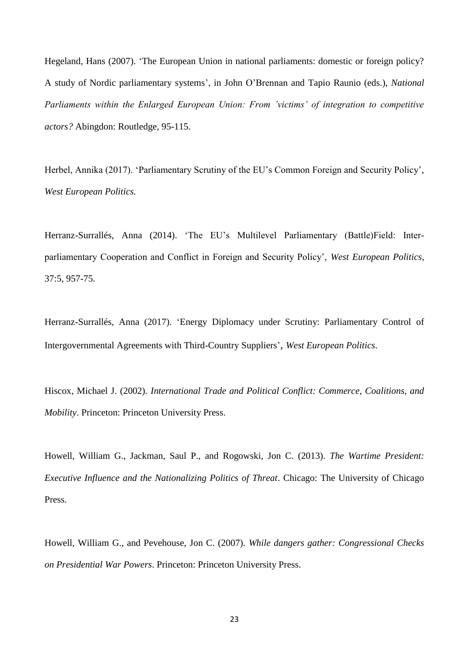Hegeland, Hans (2007). 'The European Union in national parliaments: domestic or foreign policy? A study of Nordic parliamentary systems', in John O'Brennan and Tapio Raunio (eds.), *National Parliaments within the Enlarged European Union: From 'victims' of integration to competitive actors?* Abingdon: Routledge, 95-115.

Herbel, Annika (2017). 'Parliamentary Scrutiny of the EU's Common Foreign and Security Policy', *West European Politics.*

Herranz-Surrallés, Anna (2014). 'The EU's Multilevel Parliamentary (Battle)Field: Interparliamentary Cooperation and Conflict in Foreign and Security Policy', *West European Politics*, 37:5, 957-75.

Herranz-Surrallés, Anna (2017). 'Energy Diplomacy under Scrutiny: Parliamentary Control of Intergovernmental Agreements with Third-Country Suppliers', *West European Politics*.

Hiscox, Michael J. (2002). *International Trade and Political Conflict: Commerce, Coalitions, and Mobility*. Princeton: Princeton University Press.

Howell, William G., Jackman, Saul P., and Rogowski, Jon C. (2013). *The Wartime President: Executive Influence and the Nationalizing Politics of Threat*. Chicago: The University of Chicago Press.

Howell, William G., and Pevehouse, Jon C. (2007). *While dangers gather: Congressional Checks on Presidential War Powers*. Princeton: Princeton University Press.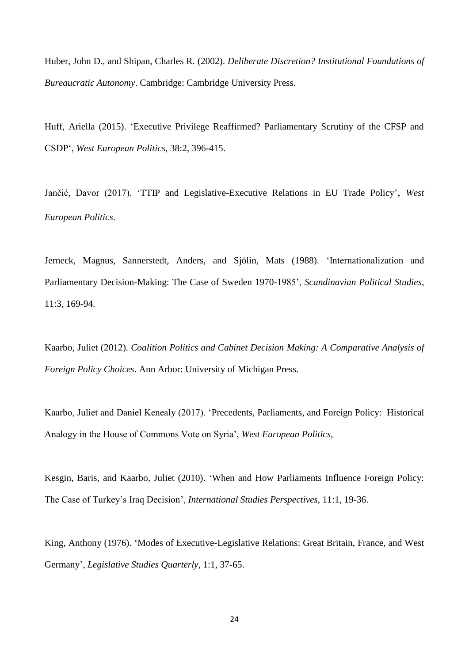Huber, John D., and Shipan, Charles R. (2002). *Deliberate Discretion? Institutional Foundations of Bureaucratic Autonomy*. Cambridge: Cambridge University Press.

Huff, Ariella (2015). 'Executive Privilege Reaffirmed? Parliamentary Scrutiny of the CFSP and CSDP', *West European Politics*, 38:2, 396-415.

Jančić, Davor (2017). 'TTIP and Legislative-Executive Relations in EU Trade Policy', *West European Politics*.

Jerneck, Magnus, Sannerstedt, Anders, and Sjölin, Mats (1988). 'Internationalization and Parliamentary Decision-Making: The Case of Sweden 1970-1985', *Scandinavian Political Studies*, 11:3, 169-94.

Kaarbo, Juliet (2012). *Coalition Politics and Cabinet Decision Making: A Comparative Analysis of Foreign Policy Choices*. Ann Arbor: University of Michigan Press.

Kaarbo, Juliet and Daniel Kenealy (2017). 'Precedents, Parliaments, and Foreign Policy: Historical Analogy in the House of Commons Vote on Syria', *West European Politics*,

Kesgin, Baris, and Kaarbo, Juliet (2010). 'When and How Parliaments Influence Foreign Policy: The Case of Turkey's Iraq Decision', *International Studies Perspectives*, 11:1, 19-36.

King, Anthony (1976). 'Modes of Executive-Legislative Relations: Great Britain, France, and West Germany', *Legislative Studies Quarterly*, 1:1, 37-65.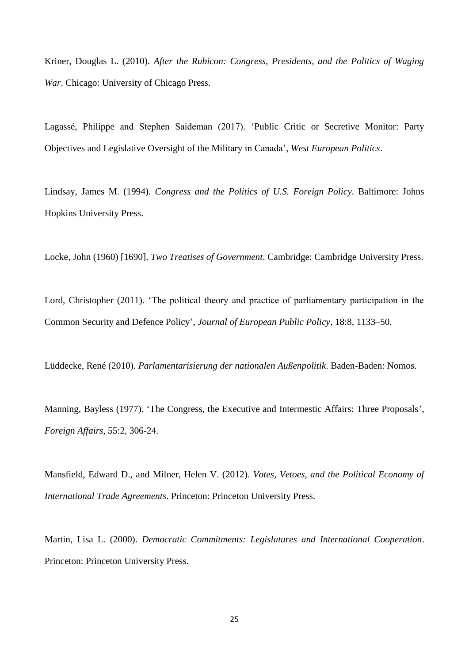Kriner, Douglas L. (2010). *After the Rubicon: Congress, Presidents, and the Politics of Waging War*. Chicago: University of Chicago Press.

Lagassé, Philippe and Stephen Saideman (2017). 'Public Critic or Secretive Monitor: Party Objectives and Legislative Oversight of the Military in Canada', *West European Politics*.

Lindsay, James M. (1994). *Congress and the Politics of U.S. Foreign Policy*. Baltimore: Johns Hopkins University Press.

Locke, John (1960) [1690]. *Two Treatises of Government*. Cambridge: Cambridge University Press.

Lord, Christopher (2011). 'The political theory and practice of parliamentary participation in the Common Security and Defence Policy', *Journal of European Public Policy*, 18:8, 1133–50.

Lüddecke, René (2010). *Parlamentarisierung der nationalen Außenpolitik*. Baden-Baden: Nomos.

Manning, Bayless (1977). 'The Congress, the Executive and Intermestic Affairs: Three Proposals', *Foreign Affairs*, 55:2, 306-24.

Mansfield, Edward D., and Milner, Helen V. (2012). *Votes, Vetoes, and the Political Economy of International Trade Agreements*. Princeton: Princeton University Press.

Martin, Lisa L. (2000). *Democratic Commitments: Legislatures and International Cooperation*. Princeton: Princeton University Press.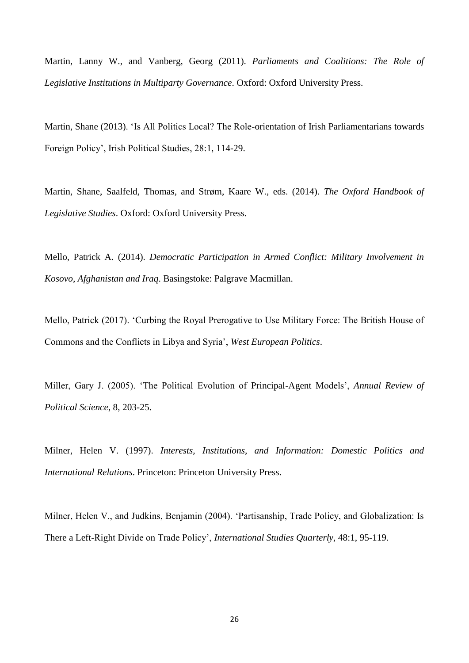Martin, Lanny W., and Vanberg, Georg (2011). *Parliaments and Coalitions: The Role of Legislative Institutions in Multiparty Governance*. Oxford: Oxford University Press.

Martin, Shane (2013). 'Is All Politics Local? The Role-orientation of Irish Parliamentarians towards Foreign Policy', Irish Political Studies, 28:1, 114-29.

Martin, Shane, Saalfeld, Thomas, and Strøm, Kaare W., eds. (2014). *The Oxford Handbook of Legislative Studies*. Oxford: Oxford University Press.

Mello, Patrick A. (2014). *Democratic Participation in Armed Conflict: Military Involvement in Kosovo, Afghanistan and Iraq*. Basingstoke: Palgrave Macmillan.

Mello, Patrick (2017). 'Curbing the Royal Prerogative to Use Military Force: The British House of Commons and the Conflicts in Libya and Syria', *West European Politics*.

Miller, Gary J. (2005). 'The Political Evolution of Principal-Agent Models', *Annual Review of Political Science*, 8, 203-25.

Milner, Helen V. (1997). *Interests, Institutions, and Information: Domestic Politics and International Relations*. Princeton: Princeton University Press.

Milner, Helen V., and Judkins, Benjamin (2004). 'Partisanship, Trade Policy, and Globalization: Is There a Left-Right Divide on Trade Policy', *International Studies Quarterly*, 48:1, 95-119.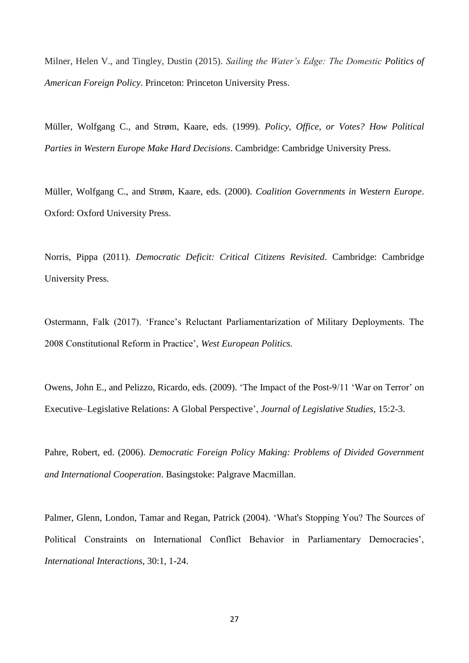Milner, Helen V., and Tingley, Dustin (2015). *Sailing the Water's Edge: The Domestic Politics of American Foreign Policy*. Princeton: Princeton University Press.

Müller, Wolfgang C., and Strøm, Kaare, eds. (1999). *Policy, Office, or Votes? How Political Parties in Western Europe Make Hard Decisions*. Cambridge: Cambridge University Press.

Müller, Wolfgang C., and Strøm, Kaare, eds. (2000). *Coalition Governments in Western Europe*. Oxford: Oxford University Press.

Norris, Pippa (2011). *Democratic Deficit: Critical Citizens Revisited*. Cambridge: Cambridge University Press.

Ostermann, Falk (2017). 'France's Reluctant Parliamentarization of Military Deployments. The 2008 Constitutional Reform in Practice', *West European Politics.*

Owens, John E., and Pelizzo, Ricardo, eds. (2009). 'The Impact of the Post-9/11 'War on Terror' on Executive–Legislative Relations: A Global Perspective', *Journal of Legislative Studies*, 15:2-3.

Pahre, Robert, ed. (2006). *Democratic Foreign Policy Making: Problems of Divided Government and International Cooperation*. Basingstoke: Palgrave Macmillan.

Palmer, Glenn, London, Tamar and Regan, Patrick (2004). 'What's Stopping You? The Sources of Political Constraints on International Conflict Behavior in Parliamentary Democracies', *International Interactions*, 30:1, 1-24.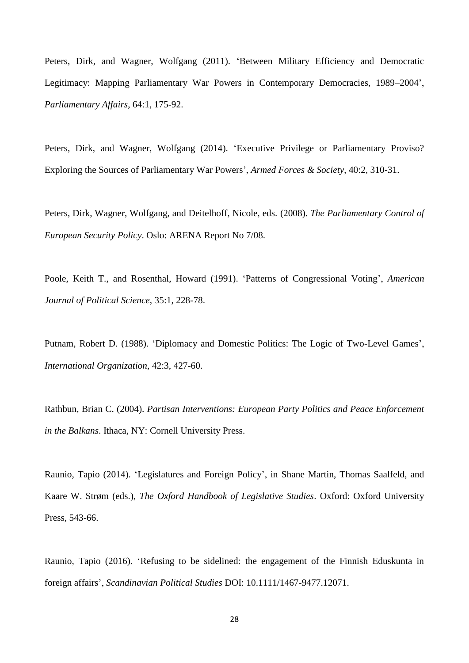Peters, Dirk, and Wagner, Wolfgang (2011). 'Between Military Efficiency and Democratic Legitimacy: Mapping Parliamentary War Powers in Contemporary Democracies, 1989–2004', *Parliamentary Affairs*, 64:1, 175-92.

Peters, Dirk, and Wagner, Wolfgang (2014). 'Executive Privilege or Parliamentary Proviso? Exploring the Sources of Parliamentary War Powers', *Armed Forces & Society*, 40:2, 310-31.

Peters, Dirk, Wagner, Wolfgang, and Deitelhoff, Nicole, eds. (2008). *The Parliamentary Control of European Security Policy*. Oslo: ARENA Report No 7/08.

Poole, Keith T., and Rosenthal, Howard (1991). 'Patterns of Congressional Voting', *American Journal of Political Science*, 35:1, 228-78.

Putnam, Robert D. (1988). 'Diplomacy and Domestic Politics: The Logic of Two-Level Games', *International Organization*, 42:3, 427-60.

Rathbun, Brian C. (2004). *Partisan Interventions: European Party Politics and Peace Enforcement in the Balkans*. Ithaca, NY: Cornell University Press.

Raunio, Tapio (2014). 'Legislatures and Foreign Policy', in Shane Martin, Thomas Saalfeld, and Kaare W. Strøm (eds.), *The Oxford Handbook of Legislative Studies*. Oxford: Oxford University Press, 543-66.

Raunio, Tapio (2016). 'Refusing to be sidelined: the engagement of the Finnish Eduskunta in foreign affairs', *Scandinavian Political Studies* DOI: 10.1111/1467-9477.12071.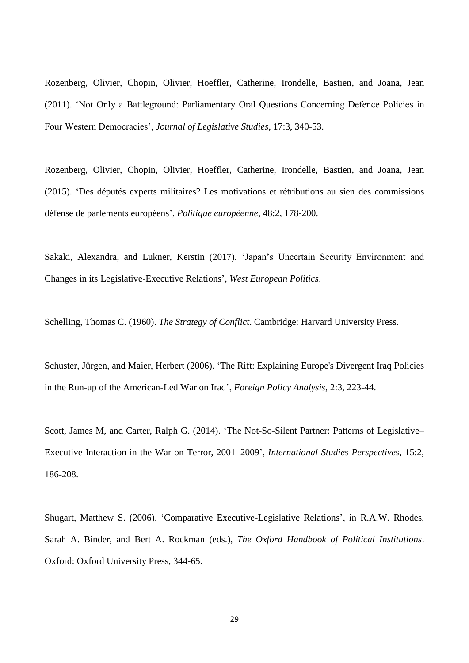Rozenberg, Olivier, Chopin, Olivier, Hoeffler, Catherine, Irondelle, Bastien, and Joana, Jean (2011). 'Not Only a Battleground: Parliamentary Oral Questions Concerning Defence Policies in Four Western Democracies', *Journal of Legislative Studies*, 17:3, 340-53.

Rozenberg, Olivier, Chopin, Olivier, Hoeffler, Catherine, Irondelle, Bastien, and Joana, Jean (2015). 'Des députés experts militaires? Les motivations et rétributions au sien des commissions défense de parlements européens', *Politique européenne*, 48:2, 178-200.

Sakaki, Alexandra, and Lukner, Kerstin (2017). 'Japan's Uncertain Security Environment and Changes in its Legislative-Executive Relations', *West European Politics*.

Schelling, Thomas C. (1960). *The Strategy of Conflict*. Cambridge: Harvard University Press.

Schuster, Jürgen, and Maier, Herbert (2006). 'The Rift: Explaining Europe's Divergent Iraq Policies in the Run-up of the American-Led War on Iraq', *Foreign Policy Analysis*, 2:3, 223-44.

Scott, James M, and Carter, Ralph G. (2014). 'The Not-So-Silent Partner: Patterns of Legislative– Executive Interaction in the War on Terror, 2001–2009', *International Studies Perspectives*, 15:2, 186-208.

Shugart, Matthew S. (2006). 'Comparative Executive-Legislative Relations', in R.A.W. Rhodes, Sarah A. Binder, and Bert A. Rockman (eds.), *The Oxford Handbook of Political Institutions*. Oxford: Oxford University Press, 344-65.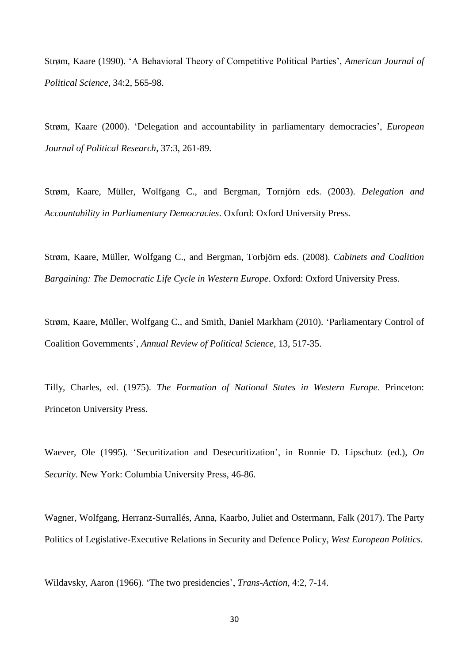Strøm, Kaare (1990). 'A Behavioral Theory of Competitive Political Parties', *American Journal of Political Science*, 34:2, 565-98.

Strøm, Kaare (2000). 'Delegation and accountability in parliamentary democracies', *European Journal of Political Research*, 37:3, 261-89.

Strøm, Kaare, Müller, Wolfgang C., and Bergman, Tornjörn eds. (2003). *Delegation and Accountability in Parliamentary Democracies*. Oxford: Oxford University Press.

Strøm, Kaare, Müller, Wolfgang C., and Bergman, Torbjörn eds. (2008). *Cabinets and Coalition Bargaining: The Democratic Life Cycle in Western Europe.* Oxford: Oxford University Press.

Strøm, Kaare, Müller, Wolfgang C., and Smith, Daniel Markham (2010). 'Parliamentary Control of Coalition Governments', *Annual Review of Political Science*, 13, 517-35.

Tilly, Charles, ed. (1975). *The Formation of National States in Western Europe*. Princeton: Princeton University Press.

Waever, Ole (1995). 'Securitization and Desecuritization', in Ronnie D. Lipschutz (ed.), *On Security*. New York: Columbia University Press, 46-86.

Wagner, Wolfgang, Herranz-Surrallés, Anna, Kaarbo, Juliet and Ostermann, Falk (2017). The Party Politics of Legislative-Executive Relations in Security and Defence Policy, *West European Politics*.

Wildavsky, Aaron (1966). 'The two presidencies', *Trans-Action*, 4:2, 7-14.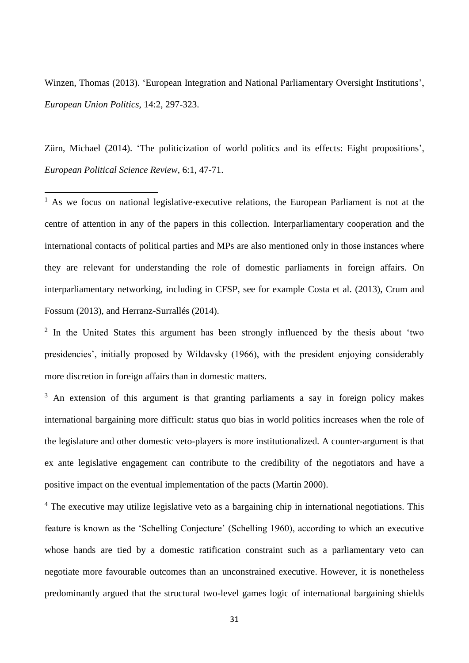Winzen, Thomas (2013). 'European Integration and National Parliamentary Oversight Institutions', *European Union Politics*, 14:2, 297-323.

Zürn, Michael (2014). 'The politicization of world politics and its effects: Eight propositions', *European Political Science Review*, 6:1, 47-71.

1

 $<sup>1</sup>$  As we focus on national legislative-executive relations, the European Parliament is not at the</sup> centre of attention in any of the papers in this collection. Interparliamentary cooperation and the international contacts of political parties and MPs are also mentioned only in those instances where they are relevant for understanding the role of domestic parliaments in foreign affairs. On interparliamentary networking, including in CFSP, see for example Costa et al. (2013), Crum and Fossum (2013), and Herranz-Surrallés (2014).

 $2$  In the United States this argument has been strongly influenced by the thesis about 'two presidencies', initially proposed by Wildavsky (1966), with the president enjoying considerably more discretion in foreign affairs than in domestic matters.

<sup>3</sup> An extension of this argument is that granting parliaments a say in foreign policy makes international bargaining more difficult: status quo bias in world politics increases when the role of the legislature and other domestic veto-players is more institutionalized. A counter-argument is that ex ante legislative engagement can contribute to the credibility of the negotiators and have a positive impact on the eventual implementation of the pacts (Martin 2000).

<sup>4</sup> The executive may utilize legislative veto as a bargaining chip in international negotiations. This feature is known as the 'Schelling Conjecture' (Schelling 1960), according to which an executive whose hands are tied by a domestic ratification constraint such as a parliamentary veto can negotiate more favourable outcomes than an unconstrained executive. However, it is nonetheless predominantly argued that the structural two-level games logic of international bargaining shields